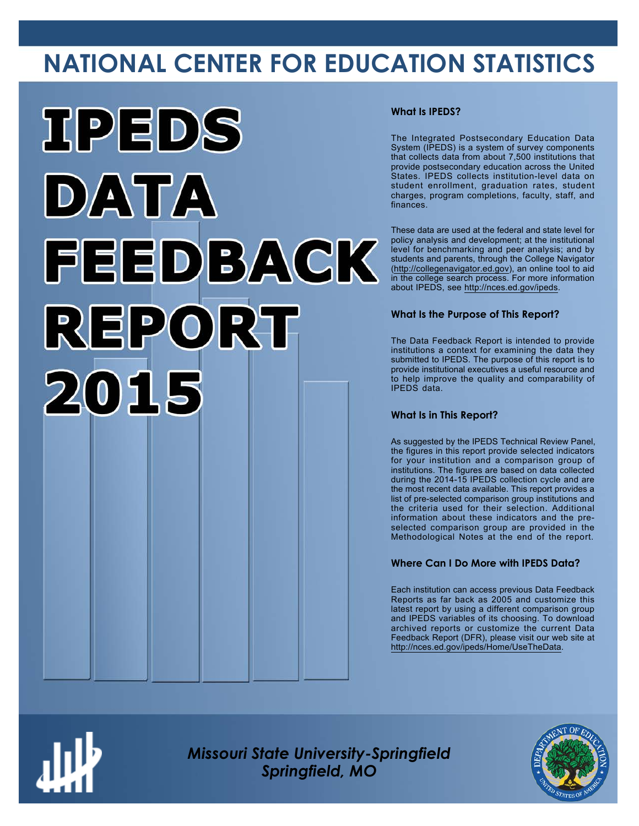# **NATIONAL CENTER FOR EDUCATION STATISTICS**



### **What Is IPEDS?**

The Integrated Postsecondary Education Data System (IPEDS) is a system of survey components that collects data from about 7,500 institutions that provide postsecondary education across the United States. IPEDS collects institution-level data on student enrollment, graduation rates, student charges, program completions, faculty, staff, and finances.

These data are used at the federal and state level for policy analysis and development; at the institutional level for benchmarking and peer analysis; and by students and parents, through the College Navigator ([http://collegenavigator.ed.gov\)](http://collegenavigator.ed.gov), an online tool to aid in the college search process. For more information about IPEDS, see [http://nces.ed.gov/ipeds.](http://nces.ed.gov/ipeds)

### **What Is the Purpose of This Report?**

The Data Feedback Report is intended to provide institutions a context for examining the data they submitted to IPEDS. The purpose of this report is to provide institutional executives a useful resource and to help improve the quality and comparability of IPEDS data.

### **What Is in This Report?**

As suggested by the IPEDS Technical Review Panel, the figures in this report provide selected indicators for your institution and a comparison group of institutions. The figures are based on data collected during the 2014-15 IPEDS collection cycle and are the most recent data available. This report provides a list of pre-selected comparison group institutions and the criteria used for their selection. Additional information about these indicators and the preselected comparison group are provided in the Methodological Notes at the end of the report.

### **Where Can I Do More with IPEDS Data?**

Each institution can access previous Data Feedback Reports as far back as 2005 and customize this latest report by using a different comparison group and IPEDS variables of its choosing. To download archived reports or customize the current Data Feedback Report (DFR), please visit our web site at <http://nces.ed.gov/ipeds/Home/UseTheData>.



*Missouri State University-Springfield Springfield, MO*

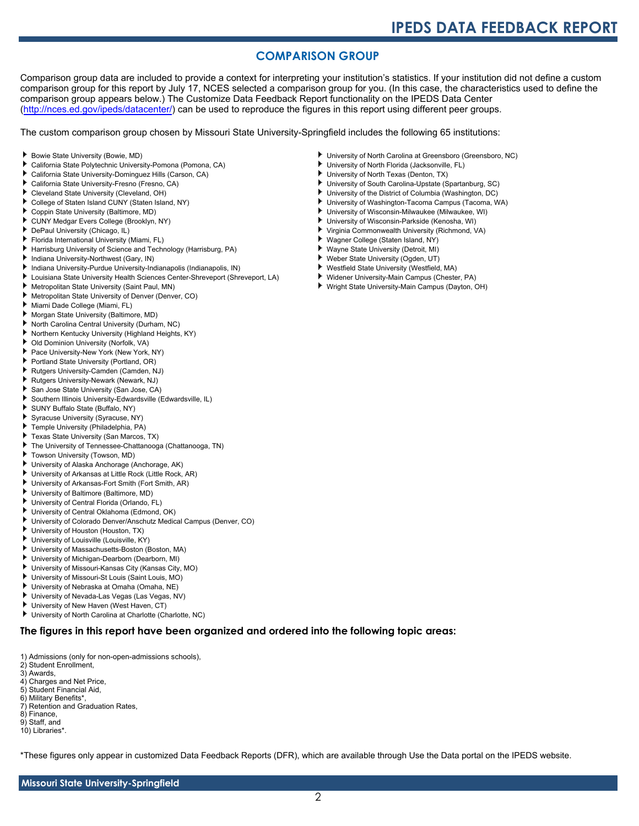## **COMPARISON GROUP**

Comparison group data are included to provide a context for interpreting your institution's statistics. If your institution did not define a custom comparison group for this report by July 17, NCES selected a comparison group for you. (In this case, the characteristics used to define the comparison group appears below.) The Customize Data Feedback Report functionality on the IPEDS Data Center [\(http://nces.ed.gov/ipeds/datacenter/\)](http://nces.ed.gov/ipeds/datacenter/) can be used to reproduce the figures in this report using different peer groups.

The custom comparison group chosen by Missouri State University-Springfield includes the following 65 institutions:

- Bowie State University (Bowie, MD)
- California State Polytechnic University-Pomona (Pomona, CA)
- California State University-Dominguez Hills (Carson, CA)
- ٠ California State University-Fresno (Fresno, CA)
- Cleveland State University (Cleveland, OH)
- College of Staten Island CUNY (Staten Island, NY)
- Coppin State University (Baltimore, MD) ۰.
- CUNY Medgar Evers College (Brooklyn, NY)
- DePaul University (Chicago, IL)
- Florida International University (Miami, FL)
- Harrisburg University of Science and Technology (Harrisburg, PA)
- Indiana University-Northwest (Gary, IN)
- Indiana University-Purdue University-Indianapolis (Indianapolis, IN)
- Louisiana State University Health Sciences Center-Shreveport (Shreveport, LA)
- Metropolitan State University (Saint Paul, MN)
- Metropolitan State University of Denver (Denver, CO)
- Miami Dade College (Miami, FL) ۰.
- Morgan State University (Baltimore, MD)
- North Carolina Central University (Durham, NC)
- Northern Kentucky University (Highland Heights, KY) ٠
- Old Dominion University (Norfolk, VA)
- Pace University-New York (New York, NY)
- Portland State University (Portland, OR)
- Þ. Rutgers University-Camden (Camden, NJ)
- Rutgers University-Newark (Newark, NJ)
- San Jose State University (San Jose, CA)
- Southern Illinois University-Edwardsville (Edwardsville, IL)
- SUNY Buffalo State (Buffalo, NY)
- Syracuse University (Syracuse, NY)
- Temple University (Philadelphia, PA) ٠
- Texas State University (San Marcos, TX)
- The University of Tennessee-Chattanooga (Chattanooga, TN)
- Towson University (Towson, MD)
- University of Alaska Anchorage (Anchorage, AK)
- University of Arkansas at Little Rock (Little Rock, AR)
- University of Arkansas-Fort Smith (Fort Smith, AR)
- University of Baltimore (Baltimore, MD)
- University of Central Florida (Orlando, FL)
- University of Central Oklahoma (Edmond, OK)
- University of Colorado Denver/Anschutz Medical Campus (Denver, CO)
- University of Houston (Houston, TX)
- University of Louisville (Louisville, KY)
- University of Massachusetts-Boston (Boston, MA)
- ь University of Michigan-Dearborn (Dearborn, MI)
- University of Missouri-Kansas City (Kansas City, MO)
- University of Missouri-St Louis (Saint Louis, MO)
- University of Nebraska at Omaha (Omaha, NE)
- University of Nevada-Las Vegas (Las Vegas, NV)
- University of New Haven (West Haven, CT)
- University of North Carolina at Charlotte (Charlotte, NC)

#### **The figures in this report have been organized and ordered into the following topic areas:**

- 1) Admissions (only for non-open-admissions schools),
- 2) Student Enrollment,
- 3) Awards,
- 4) Charges and Net Price,
- 5) Student Financial Aid,
- 6) Military Benefits\*, 7) Retention and Graduation Rates,
- 8) Finance,
- 9) Staff, and
- 10) Libraries\*.

\*These figures only appear in customized Data Feedback Reports (DFR), which are available through Use the Data portal on the IPEDS website.

- University of North Carolina at Greensboro (Greensboro, NC)
- University of North Florida (Jacksonville, FL)
- University of North Texas (Denton, TX)
- University of South Carolina-Upstate (Spartanburg, SC)
- University of the District of Columbia (Washington, DC)
- University of Washington-Tacoma Campus (Tacoma, WA)
- University of Wisconsin-Milwaukee (Milwaukee, WI)
- University of Wisconsin-Parkside (Kenosha, WI)
- Virginia Commonwealth University (Richmond, VA)
- Wagner College (Staten Island, NY)
- Wayne State University (Detroit, MI)
- Weber State University (Ogden, UT) Westfield State University (Westfield, MA)
- . Widener University-Main Campus (Chester, PA)
- Wright State University-Main Campus (Dayton, OH)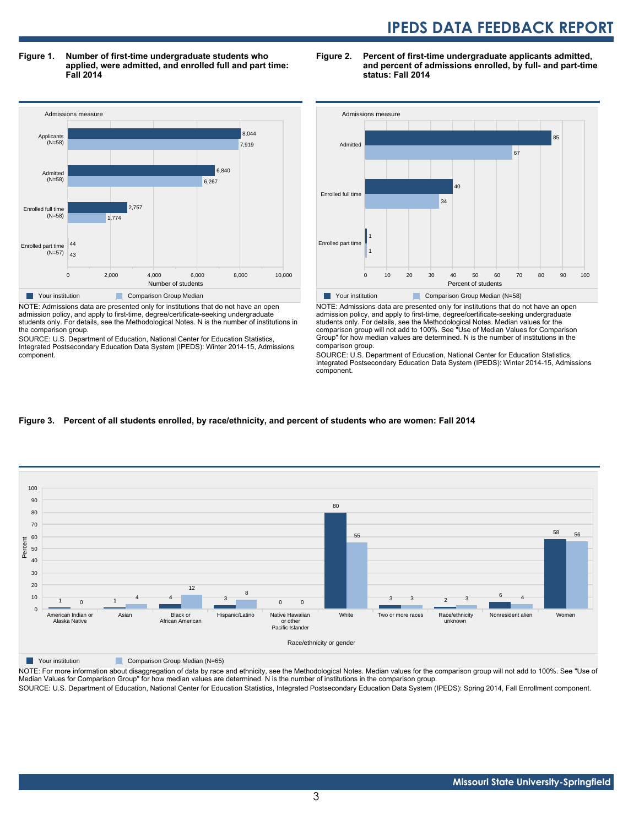**Figure 1. Number of first-time undergraduate students who applied, were admitted, and enrolled full and part time: Fall 2014**



admission policy, and apply to first-time, degree/certificate-seeking undergraduate students only. For details, see the Methodological Notes. N is the number of institutions in the comparison group.

SOURCE: U.S. Department of Education, National Center for Education Statistics, Integrated Postsecondary Education Data System (IPEDS): Winter 2014-15, Admissions component.





NOTE: Admissions data are presented only for institutions that do not have an open admission policy, and apply to first-time, degree/certificate-seeking undergraduate students only. For details, see the Methodological Notes. Median values for the comparison group will not add to 100%. See "Use of Median Values for Comparison Group" for how median values are determined. N is the number of institutions in the comparison group.

SOURCE: U.S. Department of Education, National Center for Education Statistics, Integrated Postsecondary Education Data System (IPEDS): Winter 2014-15, Admissions component.

#### **Figure 3. Percent of all students enrolled, by race/ethnicity, and percent of students who are women: Fall 2014**



Your institution Comparison Group Median (N=65)

NOTE: For more information about disaggregation of data by race and ethnicity, see the Methodological Notes. Median values for the comparison group will not add to 100%. See "Use of Median Values for Comparison Group" for how median values are determined. N is the number of institutions in the comparison group. SOURCE: U.S. Department of Education, National Center for Education Statistics, Integrated Postsecondary Education Data System (IPEDS): Spring 2014, Fall Enrollment component.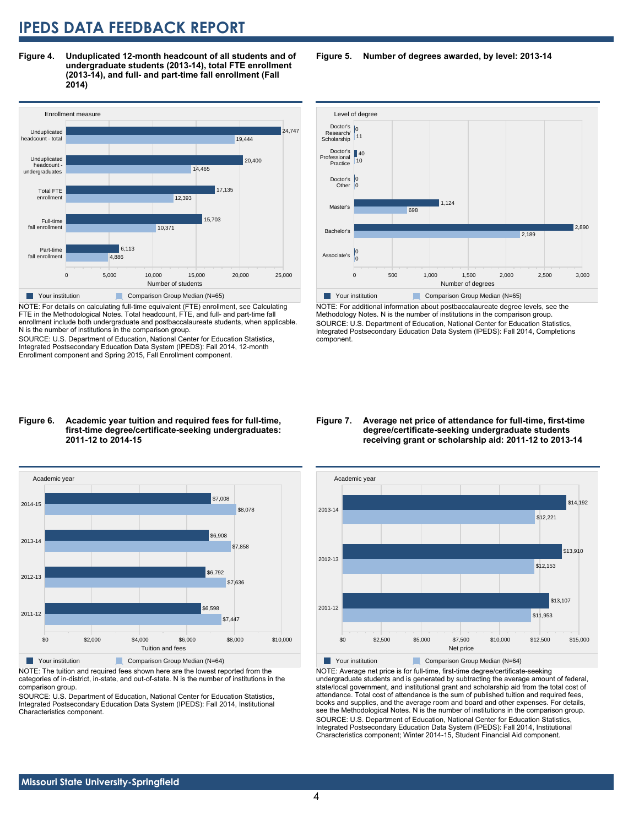**Figure 4. Unduplicated 12-month headcount of all students and of undergraduate students (2013-14), total FTE enrollment (2013-14), and full- and part-time fall enrollment (Fall 2014)**



NOTE: For details on calculating full-time equivalent (FTE) enrollment, see Calculating FTE in the Methodological Notes. Total headcount, FTE, and full- and part-time fall enrollment include both undergraduate and postbaccalaureate students, when applicable. N is the number of institutions in the comparison group.

SOURCE: U.S. Department of Education, National Center for Education Statistics, Integrated Postsecondary Education Data System (IPEDS): Fall 2014, 12-month Enrollment component and Spring 2015, Fall Enrollment component.

### Level of degree Doctor's 40 Doctor's 0 Research/ Scholarship 11

**Figure 5. Number of degrees awarded, by level: 2013-14**



NOTE: For additional information about postbaccalaureate degree levels, see the Methodology Notes. N is the number of institutions in the comparison group. SOURCE: U.S. Department of Education, National Center for Education Statistics, Integrated Postsecondary Education Data System (IPEDS): Fall 2014, Completions component.

#### **Figure 6. Academic year tuition and required fees for full-time, first-time degree/certificate-seeking undergraduates: 2011-12 to 2014-15**



NOTE: The tuition and required fees shown here are the lowest reported from the categories of in-district, in-state, and out-of-state. N is the number of institutions in the comparison group.

SOURCE: U.S. Department of Education, National Center for Education Statistics, Integrated Postsecondary Education Data System (IPEDS): Fall 2014, Institutional Characteristics component.

#### **Figure 7. Average net price of attendance for full-time, first-time degree/certificate-seeking undergraduate students receiving grant or scholarship aid: 2011-12 to 2013-14**



NOTE: Average net price is for full-time, first-time degree/certificate-seeking undergraduate students and is generated by subtracting the average amount of federal, state/local government, and institutional grant and scholarship aid from the total cost of attendance. Total cost of attendance is the sum of published tuition and required fees, books and supplies, and the average room and board and other expenses. For details, see the Methodological Notes. N is the number of institutions in the comparison group. SOURCE: U.S. Department of Education, National Center for Education Statistics, Integrated Postsecondary Education Data System (IPEDS): Fall 2014, Institutional Characteristics component; Winter 2014-15, Student Financial Aid component.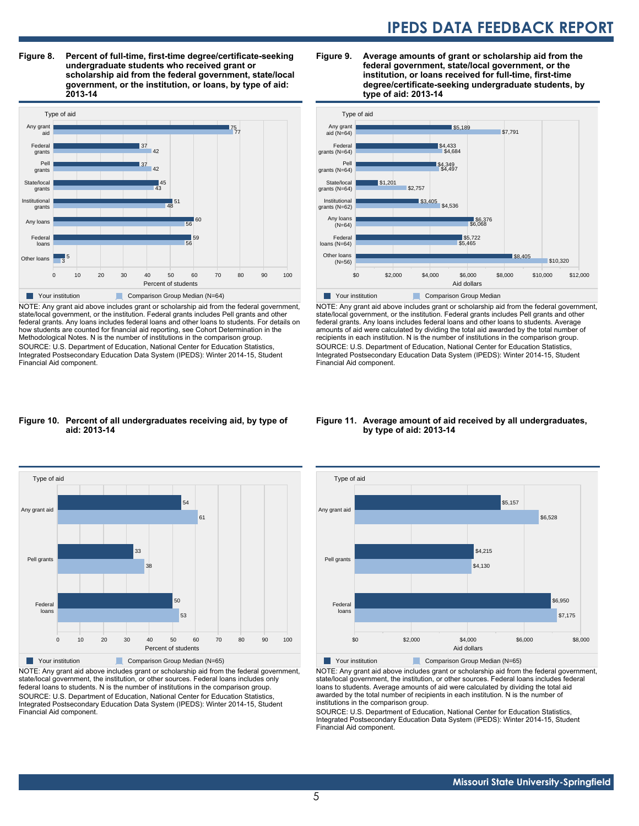**Figure 8. Percent of full-time, first-time degree/certificate-seeking undergraduate students who received grant or scholarship aid from the federal government, state/local government, or the institution, or loans, by type of aid: 2013-14**



NOTE: Any grant aid above includes grant or scholarship aid from the federal government, state/local government, or the institution. Federal grants includes Pell grants and other federal grants. Any loans includes federal loans and other loans to students. For details on how students are counted for financial aid reporting, see Cohort Determination in the Methodological Notes. N is the number of institutions in the comparison group. SOURCE: U.S. Department of Education, National Center for Education Statistics, Integrated Postsecondary Education Data System (IPEDS): Winter 2014-15, Student Financial Aid component.

#### **Figure 9. Average amounts of grant or scholarship aid from the federal government, state/local government, or the institution, or loans received for full-time, first-time degree/certificate-seeking undergraduate students, by type of aid: 2013-14**



NOTE: Any grant aid above includes grant or scholarship aid from the federal government, state/local government, or the institution. Federal grants includes Pell grants and other federal grants. Any loans includes federal loans and other loans to students. Average amounts of aid were calculated by dividing the total aid awarded by the total number of recipients in each institution. N is the number of institutions in the comparison group. SOURCE: U.S. Department of Education, National Center for Education Statistics, Integrated Postsecondary Education Data System (IPEDS): Winter 2014-15, Student Financial Aid component.

#### **Figure 10. Percent of all undergraduates receiving aid, by type of aid: 2013-14**



NOTE: Any grant aid above includes grant or scholarship aid from the federal government, state/local government, the institution, or other sources. Federal loans includes only federal loans to students. N is the number of institutions in the comparison group. SOURCE: U.S. Department of Education, National Center for Education Statistics, Integrated Postsecondary Education Data System (IPEDS): Winter 2014-15, Student Financial Aid component.

#### **Figure 11. Average amount of aid received by all undergraduates, by type of aid: 2013-14**



NOTE: Any grant aid above includes grant or scholarship aid from the federal government, state/local government, the institution, or other sources. Federal loans includes federal loans to students. Average amounts of aid were calculated by dividing the total aid awarded by the total number of recipients in each institution. N is the number of institutions in the comparison group.

SOURCE: U.S. Department of Education, National Center for Education Statistics, Integrated Postsecondary Education Data System (IPEDS): Winter 2014-15, Student Financial Aid component.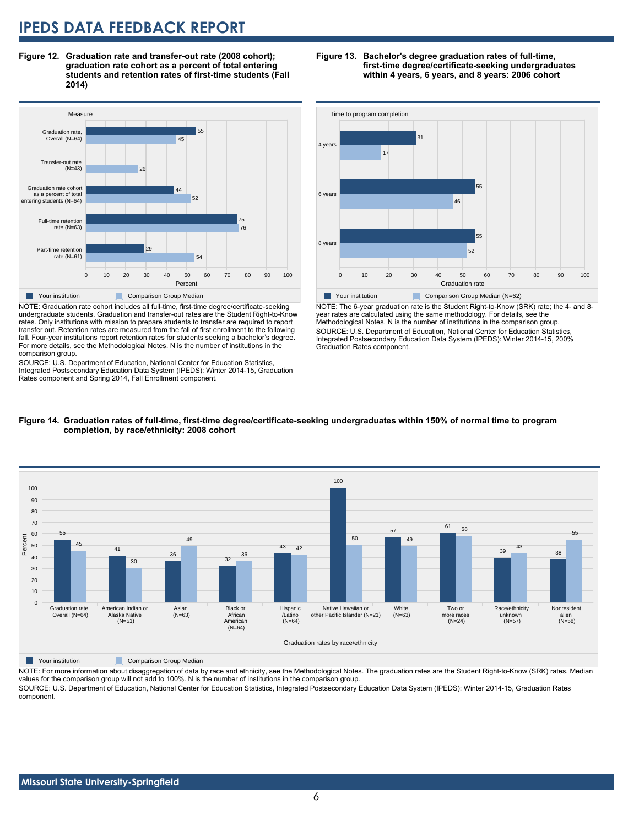**Figure 12. Graduation rate and transfer-out rate (2008 cohort); graduation rate cohort as a percent of total entering students and retention rates of first-time students (Fall 2014)**



NOTE: Graduation rate cohort includes all full-time, first-time degree/certificate-seeking undergraduate students. Graduation and transfer-out rates are the Student Right-to-Know rates. Only institutions with mission to prepare students to transfer are required to report transfer out. Retention rates are measured from the fall of first enrollment to the following fall. Four-year institutions report retention rates for students seeking a bachelor's degree. For more details, see the Methodological Notes. N is the number of institutions in the comparison group.

SOURCE: U.S. Department of Education, National Center for Education Statistics, Integrated Postsecondary Education Data System (IPEDS): Winter 2014-15, Graduation Rates component and Spring 2014, Fall Enrollment component.

#### **Figure 13. Bachelor's degree graduation rates of full-time, first-time degree/certificate-seeking undergraduates within 4 years, 6 years, and 8 years: 2006 cohort**



NOTE: The 6-year graduation rate is the Student Right-to-Know (SRK) rate; the 4- and 8 year rates are calculated using the same methodology. For details, see the Methodological Notes. N is the number of institutions in the comparison group. SOURCE: U.S. Department of Education, National Center for Education Statistics, Integrated Postsecondary Education Data System (IPEDS): Winter 2014-15, 200% Graduation Rates component.





**Table Your institution** Comparison Group Median

NOTE: For more information about disaggregation of data by race and ethnicity, see the Methodological Notes. The graduation rates are the Student Right-to-Know (SRK) rates. Median values for the comparison group will not add to 100%. N is the number of institutions in the comparison group.

SOURCE: U.S. Department of Education, National Center for Education Statistics, Integrated Postsecondary Education Data System (IPEDS): Winter 2014-15, Graduation Rates component.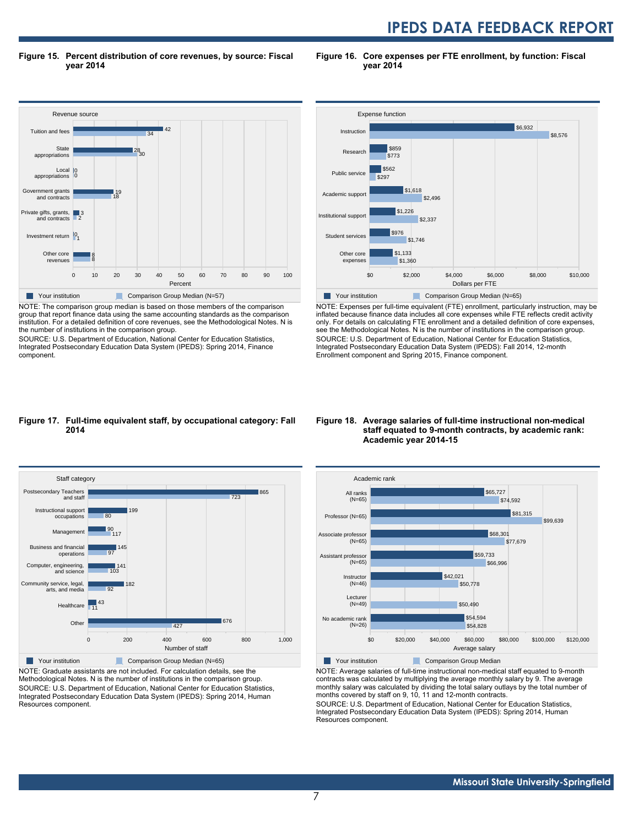**Figure 15. Percent distribution of core revenues, by source: Fiscal year 2014**

**Figure 16. Core expenses per FTE enrollment, by function: Fiscal year 2014**



NOTE: The comparison group median is based on those members of the comparison group that report finance data using the same accounting standards as the comparison institution. For a detailed definition of core revenues, see the Methodological Notes. N is the number of institutions in the comparison group.

SOURCE: U.S. Department of Education, National Center for Education Statistics, Integrated Postsecondary Education Data System (IPEDS): Spring 2014, Finance component.



NOTE: Expenses per full-time equivalent (FTE) enrollment, particularly instruction, may be inflated because finance data includes all core expenses while FTE reflects credit activity only. For details on calculating FTE enrollment and a detailed definition of core expenses, see the Methodological Notes. N is the number of institutions in the comparison group. SOURCE: U.S. Department of Education, National Center for Education Statistics, Integrated Postsecondary Education Data System (IPEDS): Fall 2014, 12-month Enrollment component and Spring 2015, Finance component.

#### **Figure 17. Full-time equivalent staff, by occupational category: Fall 2014**



NOTE: Graduate assistants are not included. For calculation details, see the Methodological Notes. N is the number of institutions in the comparison group. SOURCE: U.S. Department of Education, National Center for Education Statistics, Integrated Postsecondary Education Data System (IPEDS): Spring 2014, Human Resources component.

#### **Figure 18. Average salaries of full-time instructional non-medical staff equated to 9-month contracts, by academic rank: Academic year 2014-15**



NOTE: Average salaries of full-time instructional non-medical staff equated to 9-month contracts was calculated by multiplying the average monthly salary by 9. The average monthly salary was calculated by dividing the total salary outlays by the total number of months covered by staff on 9, 10, 11 and 12-month contracts.

SOURCE: U.S. Department of Education, National Center for Education Statistics, Integrated Postsecondary Education Data System (IPEDS): Spring 2014, Human Resources component.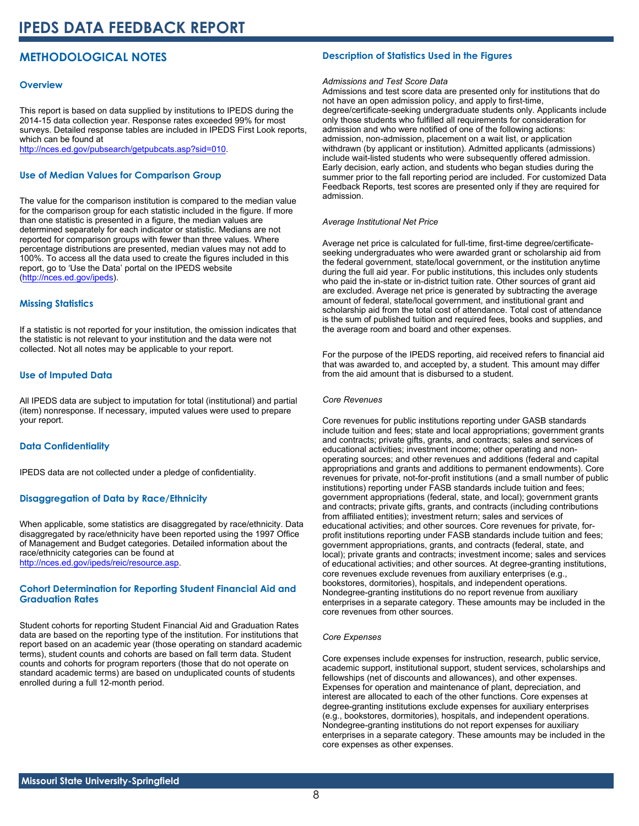### **METHODOLOGICAL NOTES**

#### **Overview**

This report is based on data supplied by institutions to IPEDS during the 2014-15 data collection year. Response rates exceeded 99% for most surveys. Detailed response tables are included in IPEDS First Look reports, which can be found at [http://nces.ed.gov/pubsearch/getpubcats.asp?sid=010.](http://nces.ed.gov/pubsearch/getpubcats.asp?sid=010)

#### **Use of Median Values for Comparison Group**

The value for the comparison institution is compared to the median value for the comparison group for each statistic included in the figure. If more than one statistic is presented in a figure, the median values are determined separately for each indicator or statistic. Medians are not reported for comparison groups with fewer than three values. Where percentage distributions are presented, median values may not add to 100%. To access all the data used to create the figures included in this report, go to 'Use the Data' portal on the IPEDS website ([http://nces.ed.gov/ipeds\)](http://nces.ed.gov/ipeds).

#### **Missing Statistics**

If a statistic is not reported for your institution, the omission indicates that the statistic is not relevant to your institution and the data were not collected. Not all notes may be applicable to your report.

#### **Use of Imputed Data**

All IPEDS data are subject to imputation for total (institutional) and partial (item) nonresponse. If necessary, imputed values were used to prepare your report.

#### **Data Confidentiality**

IPEDS data are not collected under a pledge of confidentiality.

#### **Disaggregation of Data by Race/Ethnicity**

When applicable, some statistics are disaggregated by race/ethnicity. Data disaggregated by race/ethnicity have been reported using the 1997 Office of Management and Budget categories. Detailed information about the race/ethnicity categories can be found at <http://nces.ed.gov/ipeds/reic/resource.asp>.

#### **Cohort Determination for Reporting Student Financial Aid and Graduation Rates**

Student cohorts for reporting Student Financial Aid and Graduation Rates data are based on the reporting type of the institution. For institutions that report based on an academic year (those operating on standard academic terms), student counts and cohorts are based on fall term data. Student counts and cohorts for program reporters (those that do not operate on standard academic terms) are based on unduplicated counts of students enrolled during a full 12-month period.

#### **Description of Statistics Used in the Figures**

#### *Admissions and Test Score Data*

Admissions and test score data are presented only for institutions that do not have an open admission policy, and apply to first-time, degree/certificate-seeking undergraduate students only. Applicants include only those students who fulfilled all requirements for consideration for admission and who were notified of one of the following actions: admission, non-admission, placement on a wait list, or application withdrawn (by applicant or institution). Admitted applicants (admissions) include wait-listed students who were subsequently offered admission. Early decision, early action, and students who began studies during the summer prior to the fall reporting period are included. For customized Data Feedback Reports, test scores are presented only if they are required for admission.

#### *Average Institutional Net Price*

Average net price is calculated for full-time, first-time degree/certificateseeking undergraduates who were awarded grant or scholarship aid from the federal government, state/local government, or the institution anytime during the full aid year. For public institutions, this includes only students who paid the in-state or in-district tuition rate. Other sources of grant aid are excluded. Average net price is generated by subtracting the average amount of federal, state/local government, and institutional grant and scholarship aid from the total cost of attendance. Total cost of attendance is the sum of published tuition and required fees, books and supplies, and the average room and board and other expenses.

For the purpose of the IPEDS reporting, aid received refers to financial aid that was awarded to, and accepted by, a student. This amount may differ from the aid amount that is disbursed to a student.

#### *Core Revenues*

Core revenues for public institutions reporting under GASB standards include tuition and fees; state and local appropriations; government grants and contracts; private gifts, grants, and contracts; sales and services of educational activities; investment income; other operating and nonoperating sources; and other revenues and additions (federal and capital appropriations and grants and additions to permanent endowments). Core revenues for private, not-for-profit institutions (and a small number of public institutions) reporting under FASB standards include tuition and fees; government appropriations (federal, state, and local); government grants and contracts; private gifts, grants, and contracts (including contributions from affiliated entities); investment return; sales and services of educational activities; and other sources. Core revenues for private, forprofit institutions reporting under FASB standards include tuition and fees; government appropriations, grants, and contracts (federal, state, and local); private grants and contracts; investment income; sales and services of educational activities; and other sources. At degree-granting institutions, core revenues exclude revenues from auxiliary enterprises (e.g., bookstores, dormitories), hospitals, and independent operations. Nondegree-granting institutions do no report revenue from auxiliary enterprises in a separate category. These amounts may be included in the core revenues from other sources.

#### *Core Expenses*

Core expenses include expenses for instruction, research, public service, academic support, institutional support, student services, scholarships and fellowships (net of discounts and allowances), and other expenses. Expenses for operation and maintenance of plant, depreciation, and interest are allocated to each of the other functions. Core expenses at degree-granting institutions exclude expenses for auxiliary enterprises (e.g., bookstores, dormitories), hospitals, and independent operations. Nondegree-granting institutions do not report expenses for auxiliary enterprises in a separate category. These amounts may be included in the core expenses as other expenses.